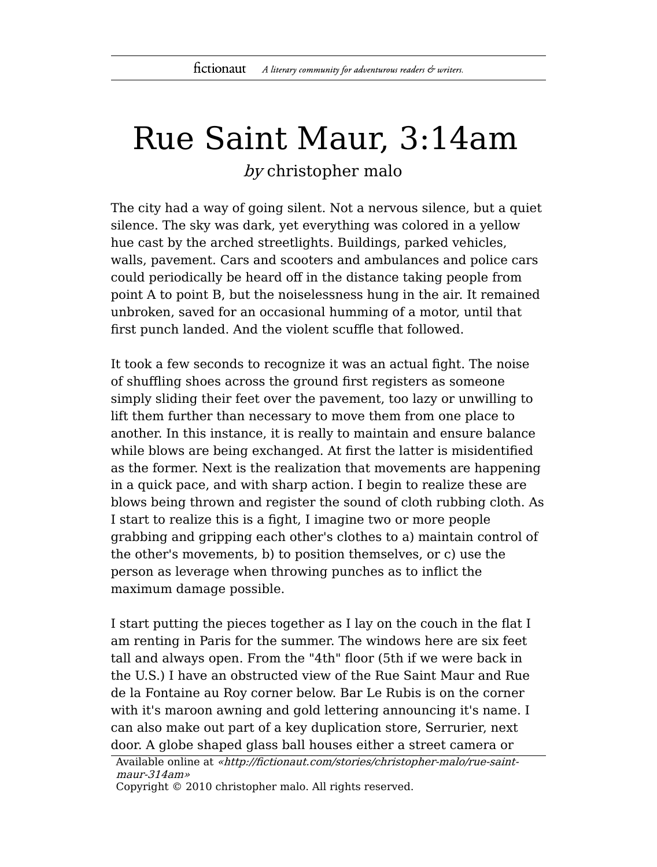## Rue Saint Maur, 3:14am by christopher malo

The city had a way of going silent. Not a nervous silence, but a quiet silence. The sky was dark, yet everything was colored in a yellow hue cast by the arched streetlights. Buildings, parked vehicles, walls, pavement. Cars and scooters and ambulances and police cars could periodically be heard off in the distance taking people from point A to point B, but the noiselessness hung in the air. It remained unbroken, saved for an occasional humming of a motor, until that first punch landed. And the violent scuffle that followed.

It took a few seconds to recognize it was an actual fight. The noise of shuffling shoes across the ground first registers as someone simply sliding their feet over the pavement, too lazy or unwilling to lift them further than necessary to move them from one place to another. In this instance, it is really to maintain and ensure balance while blows are being exchanged. At first the latter is misidentified as the former. Next is the realization that movements are happening in a quick pace, and with sharp action. I begin to realize these are blows being thrown and register the sound of cloth rubbing cloth. As I start to realize this is a fight, I imagine two or more people grabbing and gripping each other's clothes to a) maintain control of the other's movements, b) to position themselves, or c) use the person as leverage when throwing punches as to inflict the maximum damage possible.

I start putting the pieces together as I lay on the couch in the flat I am renting in Paris for the summer. The windows here are six feet tall and always open. From the "4th" floor (5th if we were back in the U.S.) I have an obstructed view of the Rue Saint Maur and Rue de la Fontaine au Roy corner below. Bar Le Rubis is on the corner with it's maroon awning and gold lettering announcing it's name. I can also make out part of a key duplication store, Serrurier, next door. A globe shaped glass ball houses either a street camera or

```
Available online at «http://fictionaut.com/stories/christopher-malo/rue-saint-
maur-314am»
```
Copyright © 2010 christopher malo. All rights reserved.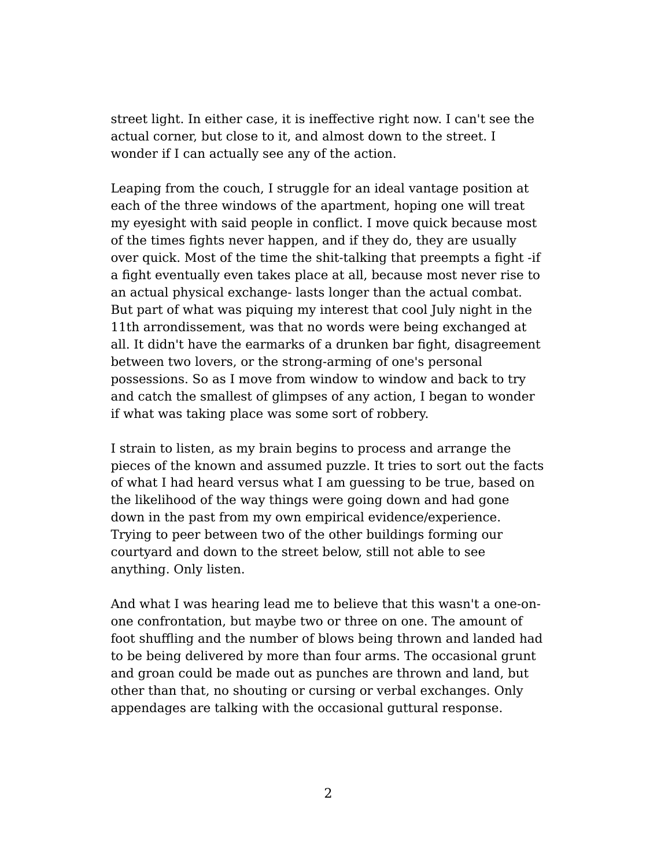street light. In either case, it is ineffective right now. I can't see the actual corner, but close to it, and almost down to the street. I wonder if I can actually see any of the action.

Leaping from the couch, I struggle for an ideal vantage position at each of the three windows of the apartment, hoping one will treat my eyesight with said people in conflict. I move quick because most of the times fights never happen, and if they do, they are usually over quick. Most of the time the shit-talking that preempts a fight -if a fight eventually even takes place at all, because most never rise to an actual physical exchange- lasts longer than the actual combat. But part of what was piquing my interest that cool July night in the 11th arrondissement, was that no words were being exchanged at all. It didn't have the earmarks of a drunken bar fight, disagreement between two lovers, or the strong-arming of one's personal possessions. So as I move from window to window and back to try and catch the smallest of glimpses of any action, I began to wonder if what was taking place was some sort of robbery.

I strain to listen, as my brain begins to process and arrange the pieces of the known and assumed puzzle. It tries to sort out the facts of what I had heard versus what I am guessing to be true, based on the likelihood of the way things were going down and had gone down in the past from my own empirical evidence/experience. Trying to peer between two of the other buildings forming our courtyard and down to the street below, still not able to see anything. Only listen.

And what I was hearing lead me to believe that this wasn't a one-onone confrontation, but maybe two or three on one. The amount of foot shuffling and the number of blows being thrown and landed had to be being delivered by more than four arms. The occasional grunt and groan could be made out as punches are thrown and land, but other than that, no shouting or cursing or verbal exchanges. Only appendages are talking with the occasional guttural response.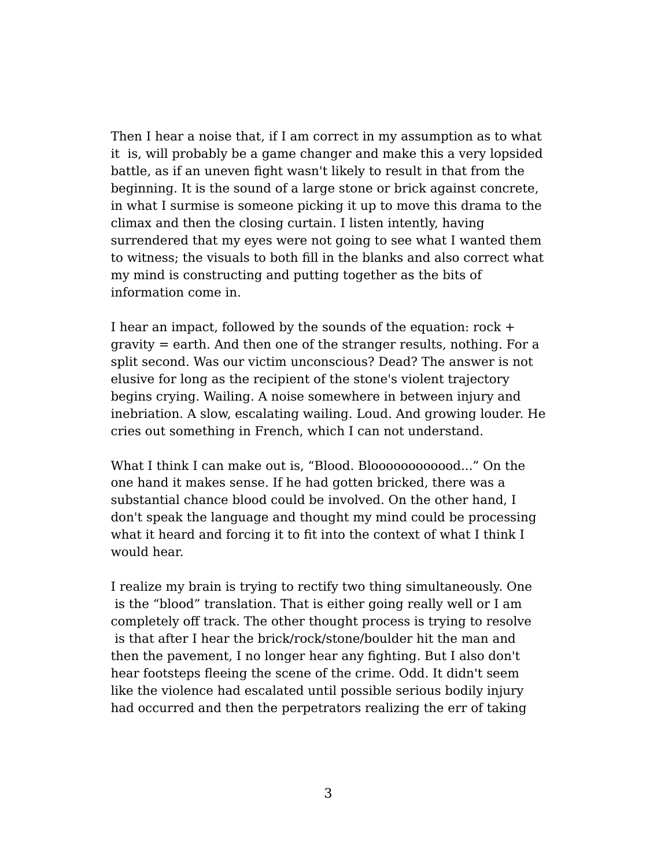Then I hear a noise that, if I am correct in my assumption as to what it is, will probably be a game changer and make this a very lopsided battle, as if an uneven fight wasn't likely to result in that from the beginning. It is the sound of a large stone or brick against concrete, in what I surmise is someone picking it up to move this drama to the climax and then the closing curtain. I listen intently, having surrendered that my eyes were not going to see what I wanted them to witness; the visuals to both fill in the blanks and also correct what my mind is constructing and putting together as the bits of information come in.

I hear an impact, followed by the sounds of the equation: rock + gravity = earth. And then one of the stranger results, nothing. For a split second. Was our victim unconscious? Dead? The answer is not elusive for long as the recipient of the stone's violent trajectory begins crying. Wailing. A noise somewhere in between injury and inebriation. A slow, escalating wailing. Loud. And growing louder. He cries out something in French, which I can not understand.

What I think I can make out is, "Blood. Blooooooooooood..." On the one hand it makes sense. If he had gotten bricked, there was a substantial chance blood could be involved. On the other hand, I don't speak the language and thought my mind could be processing what it heard and forcing it to fit into the context of what I think I would hear.

I realize my brain is trying to rectify two thing simultaneously. One is the "blood" translation. That is either going really well or I am completely off track. The other thought process is trying to resolve is that after I hear the brick/rock/stone/boulder hit the man and then the pavement, I no longer hear any fighting. But I also don't hear footsteps fleeing the scene of the crime. Odd. It didn't seem like the violence had escalated until possible serious bodily injury had occurred and then the perpetrators realizing the err of taking